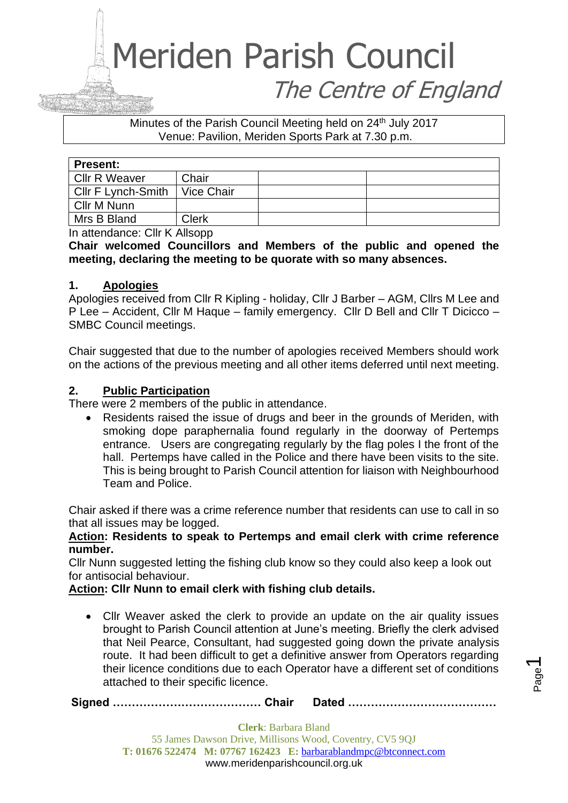# Meriden Parish Council The Centre of England

Minutes of the Parish Council Meeting held on 24<sup>th</sup> July 2017 Venue: Pavilion, Meriden Sports Park at 7.30 p.m.

| <b>Present:</b>      |              |  |  |
|----------------------|--------------|--|--|
| <b>Cllr R Weaver</b> | Chair        |  |  |
| Cllr F Lynch-Smith   | Vice Chair   |  |  |
| Cllr M Nunn          |              |  |  |
| Mrs B Bland          | <b>Clerk</b> |  |  |

In attendance: Cllr K Allsopp

**Chair welcomed Councillors and Members of the public and opened the meeting, declaring the meeting to be quorate with so many absences.** 

# **1. Apologies**

Apologies received from Cllr R Kipling - holiday, Cllr J Barber – AGM, Cllrs M Lee and P Lee – Accident, Cllr M Haque – family emergency. Cllr D Bell and Cllr T Dicicco – SMBC Council meetings.

Chair suggested that due to the number of apologies received Members should work on the actions of the previous meeting and all other items deferred until next meeting.

# **2. Public Participation**

There were 2 members of the public in attendance.

• Residents raised the issue of drugs and beer in the grounds of Meriden, with smoking dope paraphernalia found regularly in the doorway of Pertemps entrance. Users are congregating regularly by the flag poles I the front of the hall. Pertemps have called in the Police and there have been visits to the site. This is being brought to Parish Council attention for liaison with Neighbourhood Team and Police.

Chair asked if there was a crime reference number that residents can use to call in so that all issues may be logged.

**Action: Residents to speak to Pertemps and email clerk with crime reference number.** 

Cllr Nunn suggested letting the fishing club know so they could also keep a look out for antisocial behaviour.

**Action: Cllr Nunn to email clerk with fishing club details.**

• Cllr Weaver asked the clerk to provide an update on the air quality issues brought to Parish Council attention at June's meeting. Briefly the clerk advised that Neil Pearce, Consultant, had suggested going down the private analysis route. It had been difficult to get a definitive answer from Operators regarding their licence conditions due to each Operator have a different set of conditions attached to their specific licence.

**Signed ………………………………… Chair Dated …………………………………**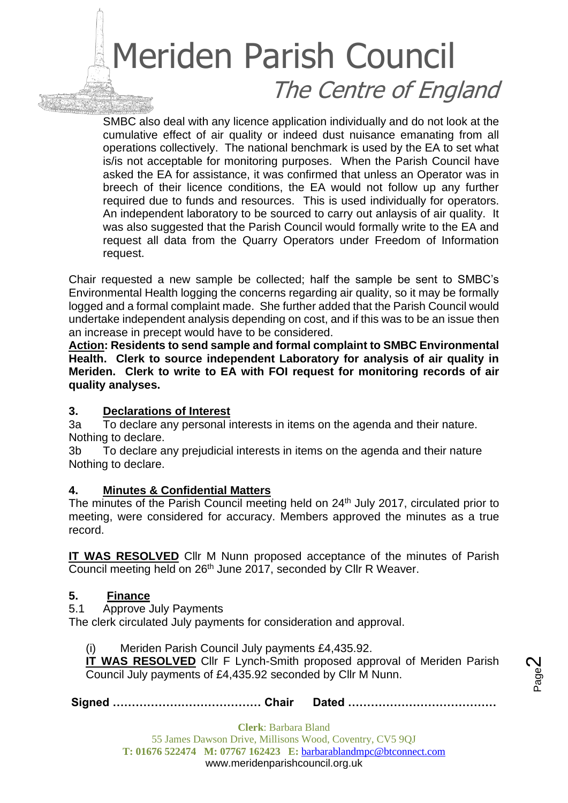# Meriden Parish Council The Centre of England

SMBC also deal with any licence application individually and do not look at the cumulative effect of air quality or indeed dust nuisance emanating from all operations collectively. The national benchmark is used by the EA to set what is/is not acceptable for monitoring purposes. When the Parish Council have asked the EA for assistance, it was confirmed that unless an Operator was in breech of their licence conditions, the EA would not follow up any further required due to funds and resources. This is used individually for operators. An independent laboratory to be sourced to carry out anlaysis of air quality. It was also suggested that the Parish Council would formally write to the EA and request all data from the Quarry Operators under Freedom of Information request.

Chair requested a new sample be collected; half the sample be sent to SMBC's Environmental Health logging the concerns regarding air quality, so it may be formally logged and a formal complaint made. She further added that the Parish Council would undertake independent analysis depending on cost, and if this was to be an issue then an increase in precept would have to be considered.

**Action: Residents to send sample and formal complaint to SMBC Environmental Health. Clerk to source independent Laboratory for analysis of air quality in Meriden. Clerk to write to EA with FOI request for monitoring records of air quality analyses.**

# **3. Declarations of Interest**

3a To declare any personal interests in items on the agenda and their nature. Nothing to declare.

3b To declare any prejudicial interests in items on the agenda and their nature Nothing to declare.

# **4. Minutes & Confidential Matters**

The minutes of the Parish Council meeting held on 24<sup>th</sup> July 2017, circulated prior to meeting, were considered for accuracy. Members approved the minutes as a true record.

**IT WAS RESOLVED** Cllr M Nunn proposed acceptance of the minutes of Parish Council meeting held on 26th June 2017, seconded by Cllr R Weaver.

# **5. Finance**

5.1 Approve July Payments

The clerk circulated July payments for consideration and approval.

(i) Meriden Parish Council July payments £4,435.92.

**IT WAS RESOLVED** Cllr F Lynch-Smith proposed approval of Meriden Parish Council July payments of £4,435.92 seconded by Cllr M Nunn.

**Signed ………………………………… Chair Dated …………………………………**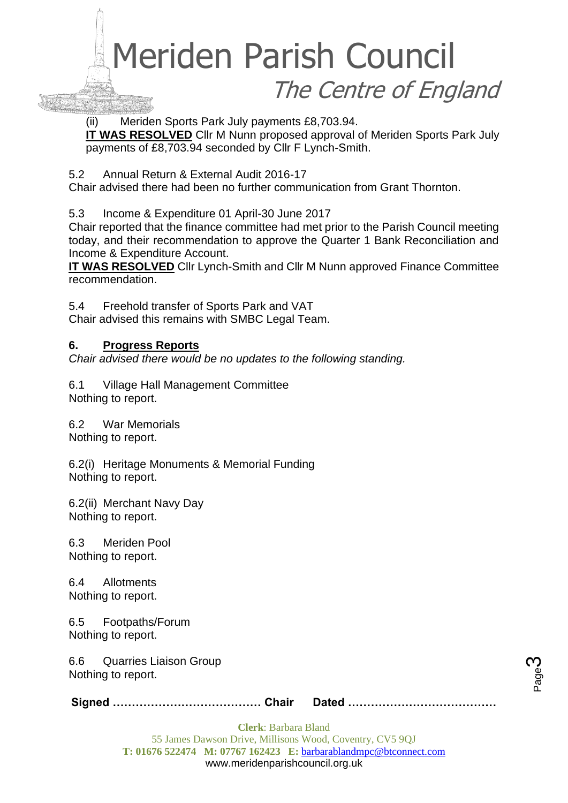# Meriden Parish Council The Centre of England

(ii) Meriden Sports Park July payments £8,703.94.

**IT WAS RESOLVED** Cllr M Nunn proposed approval of Meriden Sports Park July payments of £8,703.94 seconded by Cllr F Lynch-Smith.

5.2 Annual Return & External Audit 2016-17

Chair advised there had been no further communication from Grant Thornton.

5.3 Income & Expenditure 01 April-30 June 2017

Chair reported that the finance committee had met prior to the Parish Council meeting today, and their recommendation to approve the Quarter 1 Bank Reconciliation and Income & Expenditure Account.

**IT WAS RESOLVED** Cllr Lynch-Smith and Cllr M Nunn approved Finance Committee recommendation.

5.4 Freehold transfer of Sports Park and VAT

Chair advised this remains with SMBC Legal Team.

# **6. Progress Reports**

*Chair advised there would be no updates to the following standing.*

6.1 Village Hall Management Committee Nothing to report.

6.2 War Memorials

Nothing to report.

6.2(i) Heritage Monuments & Memorial Funding Nothing to report.

6.2(ii) Merchant Navy Day Nothing to report.

6.3 Meriden Pool Nothing to report.

6.4 Allotments Nothing to report.

6.5 Footpaths/Forum Nothing to report.

6.6 Quarries Liaison Group Nothing to report.

**Signed ………………………………… Chair Dated …………………………………**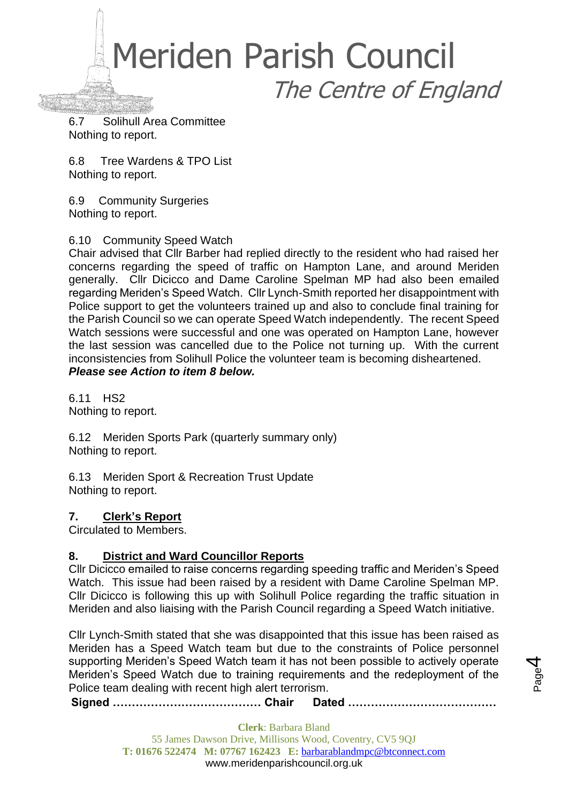

6.7 Solihull Area Committee Nothing to report.

6.8 Tree Wardens & TPO List Nothing to report.

6.9 Community Surgeries Nothing to report.

6.10 Community Speed Watch

Chair advised that Cllr Barber had replied directly to the resident who had raised her concerns regarding the speed of traffic on Hampton Lane, and around Meriden generally. Cllr Dicicco and Dame Caroline Spelman MP had also been emailed regarding Meriden's Speed Watch. Cllr Lynch-Smith reported her disappointment with Police support to get the volunteers trained up and also to conclude final training for the Parish Council so we can operate Speed Watch independently. The recent Speed Watch sessions were successful and one was operated on Hampton Lane, however the last session was cancelled due to the Police not turning up. With the current inconsistencies from Solihull Police the volunteer team is becoming disheartened. *Please see Action to item 8 below.*

6.11 HS2 Nothing to report.

6.12 Meriden Sports Park (quarterly summary only) Nothing to report.

6.13 Meriden Sport & Recreation Trust Update Nothing to report.

# **7. Clerk's Report**

Circulated to Members.

# **8. District and Ward Councillor Reports**

Cllr Dicicco emailed to raise concerns regarding speeding traffic and Meriden's Speed Watch. This issue had been raised by a resident with Dame Caroline Spelman MP. Cllr Dicicco is following this up with Solihull Police regarding the traffic situation in Meriden and also liaising with the Parish Council regarding a Speed Watch initiative.

Cllr Lynch-Smith stated that she was disappointed that this issue has been raised as Meriden has a Speed Watch team but due to the constraints of Police personnel supporting Meriden's Speed Watch team it has not been possible to actively operate Meriden's Speed Watch due to training requirements and the redeployment of the Police team dealing with recent high alert terrorism.

**Signed ………………………………… Chair Dated …………………………………**

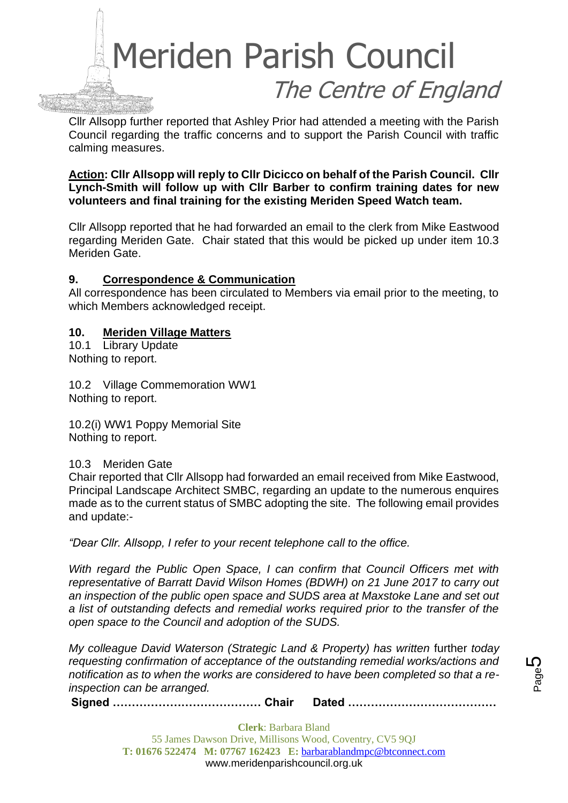

Cllr Allsopp further reported that Ashley Prior had attended a meeting with the Parish Council regarding the traffic concerns and to support the Parish Council with traffic calming measures.

**Action: Cllr Allsopp will reply to Cllr Dicicco on behalf of the Parish Council. Cllr Lynch-Smith will follow up with Cllr Barber to confirm training dates for new volunteers and final training for the existing Meriden Speed Watch team.**

Cllr Allsopp reported that he had forwarded an email to the clerk from Mike Eastwood regarding Meriden Gate. Chair stated that this would be picked up under item 10.3 Meriden Gate.

#### **9. Correspondence & Communication**

All correspondence has been circulated to Members via email prior to the meeting, to which Members acknowledged receipt.

#### **10. Meriden Village Matters**

10.1 Library Update Nothing to report.

10.2 Village Commemoration WW1 Nothing to report.

10.2(i) WW1 Poppy Memorial Site Nothing to report.

10.3 Meriden Gate

Chair reported that Cllr Allsopp had forwarded an email received from Mike Eastwood, Principal Landscape Architect SMBC, regarding an update to the numerous enquires made as to the current status of SMBC adopting the site. The following email provides and update:-

*"Dear Cllr. Allsopp, I refer to your recent telephone call to the office.*

*With regard the Public Open Space, I can confirm that Council Officers met with representative of Barratt David Wilson Homes (BDWH) on 21 June 2017 to carry out an inspection of the public open space and SUDS area at Maxstoke Lane and set out a list of outstanding defects and remedial works required prior to the transfer of the open space to the Council and adoption of the SUDS.*

*My colleague David Waterson (Strategic Land & Property) has written further today requesting confirmation of acceptance of the outstanding remedial works/actions and notification as to when the works are considered to have been completed so that a reinspection can be arranged.*

**Signed ………………………………… Chair Dated …………………………………**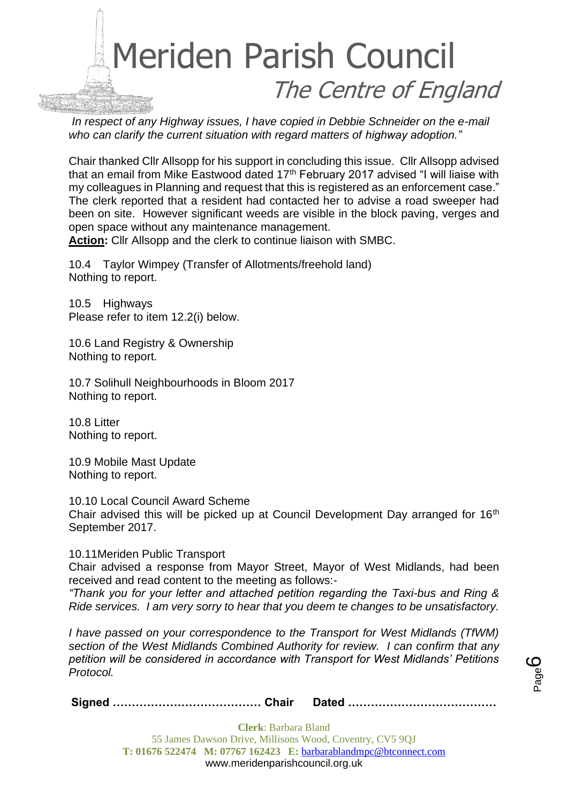

*In respect of any Highway issues, I have copied in Debbie Schneider on the e-mail who can clarify the current situation with regard matters of highway adoption."*

Chair thanked Cllr Allsopp for his support in concluding this issue. Cllr Allsopp advised that an email from Mike Eastwood dated  $17<sup>th</sup>$  February 2017 advised "I will liaise with my colleagues in Planning and request that this is registered as an enforcement case." The clerk reported that a resident had contacted her to advise a road sweeper had been on site. However significant weeds are visible in the block paving, verges and open space without any maintenance management.

**Action:** Cllr Allsopp and the clerk to continue liaison with SMBC.

10.4 Taylor Wimpey (Transfer of Allotments/freehold land) Nothing to report.

10.5 Highways Please refer to item 12.2(i) below.

10.6 Land Registry & Ownership Nothing to report.

10.7 Solihull Neighbourhoods in Bloom 2017 Nothing to report.

10.8 Litter Nothing to report.

10.9 Mobile Mast Update Nothing to report.

10.10 Local Council Award Scheme Chair advised this will be picked up at Council Development Day arranged for 16<sup>th</sup> September 2017.

10.11Meriden Public Transport

Chair advised a response from Mayor Street, Mayor of West Midlands, had been received and read content to the meeting as follows:-

*"Thank you for your letter and attached petition regarding the Taxi-bus and Ring & Ride services. I am very sorry to hear that you deem te changes to be unsatisfactory.*

*I have passed on your correspondence to the Transport for West Midlands (TfWM) section of the West Midlands Combined Authority for review. I can confirm that any petition will be considered in accordance with Transport for West Midlands' Petitions Protocol.*

Page ပ

**Signed ………………………………… Chair Dated …………………………………**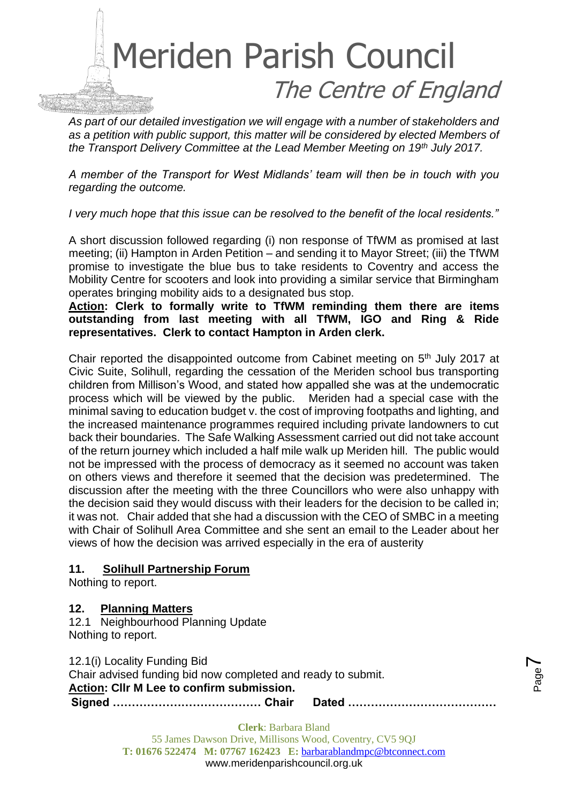

*As part of our detailed investigation we will engage with a number of stakeholders and as a petition with public support, this matter will be considered by elected Members of the Transport Delivery Committee at the Lead Member Meeting on 19th July 2017.*

*A member of the Transport for West Midlands' team will then be in touch with you regarding the outcome.*

*I very much hope that this issue can be resolved to the benefit of the local residents."*

A short discussion followed regarding (i) non response of TfWM as promised at last meeting; (ii) Hampton in Arden Petition – and sending it to Mayor Street; (iii) the TfWM promise to investigate the blue bus to take residents to Coventry and access the Mobility Centre for scooters and look into providing a similar service that Birmingham operates bringing mobility aids to a designated bus stop.

**Action: Clerk to formally write to TfWM reminding them there are items outstanding from last meeting with all TfWM, IGO and Ring & Ride representatives. Clerk to contact Hampton in Arden clerk.**

Chair reported the disappointed outcome from Cabinet meeting on 5th July 2017 at Civic Suite, Solihull, regarding the cessation of the Meriden school bus transporting children from Millison's Wood, and stated how appalled she was at the undemocratic process which will be viewed by the public. Meriden had a special case with the minimal saving to education budget v. the cost of improving footpaths and lighting, and the increased maintenance programmes required including private landowners to cut back their boundaries. The Safe Walking Assessment carried out did not take account of the return journey which included a half mile walk up Meriden hill. The public would not be impressed with the process of democracy as it seemed no account was taken on others views and therefore it seemed that the decision was predetermined. The discussion after the meeting with the three Councillors who were also unhappy with the decision said they would discuss with their leaders for the decision to be called in; it was not. Chair added that she had a discussion with the CEO of SMBC in a meeting with Chair of Solihull Area Committee and she sent an email to the Leader about her views of how the decision was arrived especially in the era of austerity

#### **11. Solihull Partnership Forum**

Nothing to report.

#### **12. Planning Matters**

12.1 Neighbourhood Planning Update Nothing to report.

12.1(i) Locality Funding Bid

**Signed ………………………………… Chair Dated …………………………………** Chair advised funding bid now completed and ready to submit. **Action: Cllr M Lee to confirm submission.**



Page  $\blacktriangleright$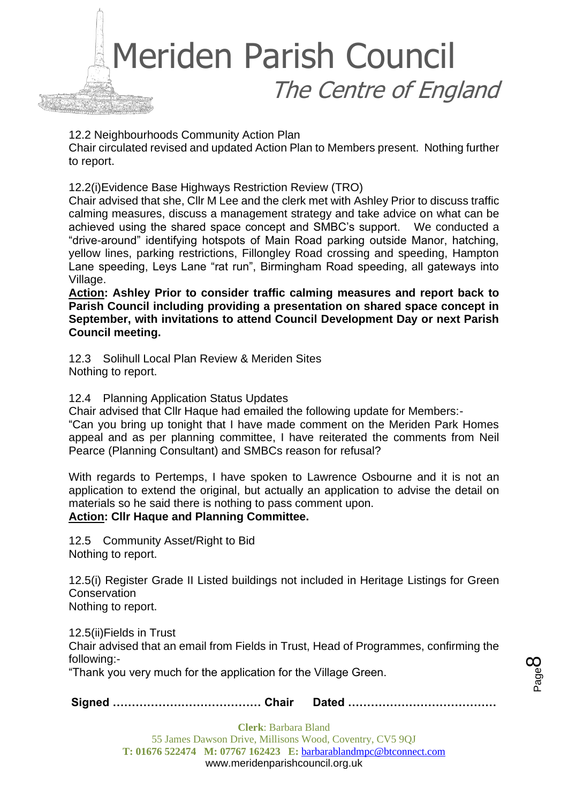

12.2 Neighbourhoods Community Action Plan

Chair circulated revised and updated Action Plan to Members present. Nothing further to report.

12.2(i)Evidence Base Highways Restriction Review (TRO)

Chair advised that she, Cllr M Lee and the clerk met with Ashley Prior to discuss traffic calming measures, discuss a management strategy and take advice on what can be achieved using the shared space concept and SMBC's support. We conducted a "drive-around" identifying hotspots of Main Road parking outside Manor, hatching, yellow lines, parking restrictions, Fillongley Road crossing and speeding, Hampton Lane speeding, Leys Lane "rat run", Birmingham Road speeding, all gateways into Village.

**Action: Ashley Prior to consider traffic calming measures and report back to Parish Council including providing a presentation on shared space concept in September, with invitations to attend Council Development Day or next Parish Council meeting.**

12.3 Solihull Local Plan Review & Meriden Sites Nothing to report.

12.4 Planning Application Status Updates

Chair advised that Cllr Haque had emailed the following update for Members:-

"Can you bring up tonight that I have made comment on the Meriden Park Homes appeal and as per planning committee, I have reiterated the comments from Neil Pearce (Planning Consultant) and SMBCs reason for refusal?

With regards to Pertemps, I have spoken to Lawrence Osbourne and it is not an application to extend the original, but actually an application to advise the detail on materials so he said there is nothing to pass comment upon. **Action: Cllr Haque and Planning Committee.**

12.5 Community Asset/Right to Bid Nothing to report.

12.5(i) Register Grade II Listed buildings not included in Heritage Listings for Green **Conservation** Nothing to report.

12.5(ii)Fields in Trust Chair advised that an email from Fields in Trust, Head of Programmes, confirming the following:-

"Thank you very much for the application for the Village Green.

**Signed ………………………………… Chair Dated …………………………………**